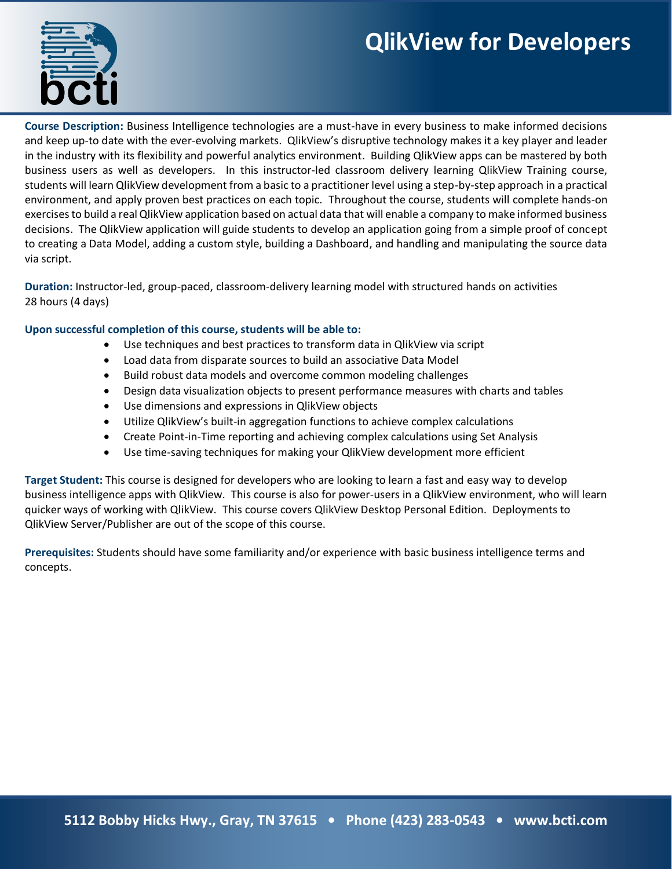# **QlikView for Developers**



**Course Description:** Business Intelligence technologies are a must-have in every business to make informed decisions and keep up-to date with the ever-evolving markets. QlikView's disruptive technology makes it a key player and leader in the industry with its flexibility and powerful analytics environment. Building QlikView apps can be mastered by both business users as well as developers. In this instructor-led classroom delivery learning QlikView Training course, students will learn QlikView development from a basic to a practitioner level using a step-by-step approach in a practical environment, and apply proven best practices on each topic. Throughout the course, students will complete hands-on exercises to build a real QlikView application based on actual data that will enable a company to make informed business decisions. The QlikView application will guide students to develop an application going from a simple proof of concept to creating a Data Model, adding a custom style, building a Dashboard, and handling and manipulating the source data via script.

**Duration:** Instructor-led, group-paced, classroom-delivery learning model with structured hands on activities 28 hours (4 days)

#### **Upon successful completion of this course, students will be able to:**

- Use techniques and best practices to transform data in QlikView via script
- Load data from disparate sources to build an associative Data Model
- Build robust data models and overcome common modeling challenges
- Design data visualization objects to present performance measures with charts and tables
- Use dimensions and expressions in QlikView objects
- Utilize QlikView's built-in aggregation functions to achieve complex calculations
- Create Point-in-Time reporting and achieving complex calculations using Set Analysis
- Use time-saving techniques for making your QlikView development more efficient

**Target Student:** This course is designed for developers who are looking to learn a fast and easy way to develop business intelligence apps with QlikView. This course is also for power-users in a QlikView environment, who will learn quicker ways of working with QlikView. This course covers QlikView Desktop Personal Edition. Deployments to QlikView Server/Publisher are out of the scope of this course.

**Prerequisites:** Students should have some familiarity and/or experience with basic business intelligence terms and concepts.